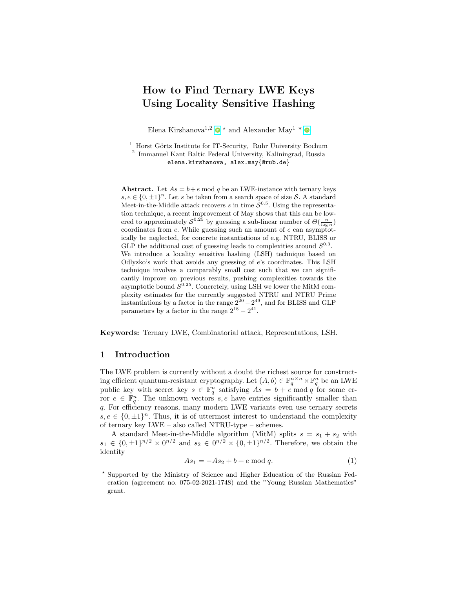# How to Find Ternary LWE Keys Using Locality Sensitive Hashing

Elena Kirshanova<sup>1,2</sup>  $\bullet$  \* and Alexander May<sup>1</sup> \*  $\bullet$ 

<sup>1</sup> Horst Görtz Institute for IT-Security, Ruhr University Bochum <sup>2</sup> Immanuel Kant Baltic Federal University, Kaliningrad, Russia elena.kirshanova, alex.may{@rub.de}

**Abstract.** Let  $As = b + e \text{ mod } q$  be an LWE-instance with ternary keys  $s, e \in \{0, \pm 1\}^n$ . Let s be taken from a search space of size S. A standard Meet-in-the-Middle attack recovers s in time  $S^{0.5}$ . Using the representation technique, a recent improvement of May shows that this can be lowered to approximately  $S^{0.25}$  by guessing a sub-linear number of  $\Theta(\frac{n}{\log n})$ coordinates from  $e$ . While guessing such an amount of  $e$  can asymptotically be neglected, for concrete instantiations of e.g. NTRU, BLISS or GLP the additional cost of guessing leads to complexities around  $S^{0.3}$ . We introduce a locality sensitive hashing (LSH) technique based on Odlyzko's work that avoids any guessing of e's coordinates. This LSH technique involves a comparably small cost such that we can significantly improve on previous results, pushing complexities towards the asymptotic bound  $S^{0.25}$ . Concretely, using LSH we lower the MitM complexity estimates for the currently suggested NTRU and NTRU Prime instantiations by a factor in the range  $2^{20} - 2^{49}$ , and for BLISS and GLP parameters by a factor in the range  $2^{18} - 2^{41}$ .

Keywords: Ternary LWE, Combinatorial attack, Representations, LSH.

# 1 Introduction

The LWE problem is currently without a doubt the richest source for constructing efficient quantum-resistant cryptography. Let  $(A, b) \in \mathbb{F}_q^{n \times n} \times \mathbb{F}_q^n$  be an LWE public key with secret key  $s \in \mathbb{F}_q^n$  satisfying  $As = b + e \mod q$  for some er-For  $e \in \mathbb{F}_q^n$ . The unknown vectors s, e have entries significantly smaller than q. For efficiency reasons, many modern LWE variants even use ternary secrets  $s, e \in \{0, \pm 1\}^n$ . Thus, it is of uttermost interest to understand the complexity of ternary key LWE – also called NTRU-type – schemes.

A standard Meet-in-the-Middle algorithm (MitM) splits  $s = s_1 + s_2$  with  $s_1 \in \{0, \pm 1\}^{n/2} \times 0^{n/2}$  and  $s_2 \in 0^{n/2} \times \{0, \pm 1\}^{n/2}$ . Therefore, we obtain the identity

<span id="page-0-0"></span>
$$
As_1 = -As_2 + b + e \bmod q. \tag{1}
$$

<sup>?</sup> Supported by the Ministry of Science and Higher Education of the Russian Federation (agreement no. 075-02-2021-1748) and the "Young Russian Mathematics" grant.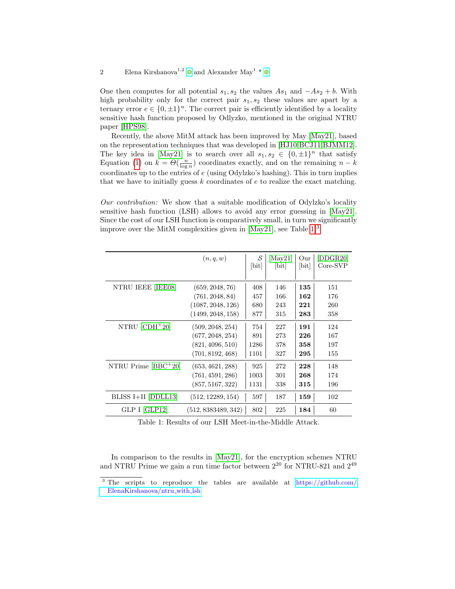<span id="page-1-2"></span>One then computes for all potential  $s_1, s_2$  the values  $As_1$  and  $-As_2 + b$ . With high probability only for the correct pair  $s_1, s_2$  these values are apart by a ternary error  $e \in \{0, \pm 1\}^n$ . The correct pair is efficiently identified by a locality sensitive hash function proposed by Odlyzko, mentioned in the original NTRU paper [\[HPS98\]](#page-22-0).

Recently, the above MitM attack has been improved by May [\[May21\]](#page-23-0), based on the representation techniques that was developed in [\[HJ10,](#page-22-1)[BCJ11,](#page-22-2)[BJMM12\]](#page-22-3). The key idea in [\[May21\]](#page-23-0) is to search over all  $s_1, s_2 \in \{0, \pm 1\}^n$  that satisfy Equation [\(1\)](#page-0-0) on  $k = \Theta(\frac{n}{\log n})$  coordinates exactly, and on the remaining  $n - k$ coordinates up to the entries of  $e$  (using Odylzko's hashing). This in turn implies that we have to initially guess  $k$  coordinates of  $e$  to realize the exact matching.

Our contribution: We show that a suitable modification of Odylzko's locality sensitive hash function (LSH) allows to avoid any error guessing in [\[May21\]](#page-23-0). Since the cost of our LSH function is comparatively small, in turn we significantly improve over the MitM complexities given in [\[May21\]](#page-23-0), see Table [1.](#page-1-0)[3](#page-1-1)

<span id="page-1-0"></span>

|                         | (n,q,w)             | S<br>[bit] | [May21]<br> bit | Our<br>[bit] | [DDGR20]<br>$Core-SVP$ |
|-------------------------|---------------------|------------|-----------------|--------------|------------------------|
| NTRU IEEE [IEE08]       | (659, 2048, 76)     | 408        | 146             | 135          | 151                    |
|                         | (761, 2048, 84)     | 457        | 166             | 162          | 176                    |
|                         | (1087, 2048, 126)   | 680        | 243             | 221          | 260                    |
|                         | (1499, 2048, 158)   | 877        | 315             | 283          | 358                    |
|                         |                     |            |                 |              |                        |
| NTRU $[CDH^+20]$        | (509, 2048, 254)    | 754        | 227             | 191          | 124                    |
|                         | (677, 2048, 254)    | 891        | 273             | 226          | 167                    |
|                         | (821, 4096, 510)    | 1286       | 378             | 358          | 197                    |
|                         | (701, 8192, 468)    | 1101       | 327             | 295          | 155                    |
| NTRU Prime $[BBC + 20]$ | (653, 4621, 288)    | 925        | 272             | 228          | 148                    |
|                         | (761, 4591, 286)    | 1003       | 301             | 268          | 174                    |
|                         | (857, 5167, 322)    | 1131       | 338             | 315          | 196                    |
| BLISS I+II [DDLL13]     | (512, 12289, 154)   | 597        | 187             | 159          | 102                    |
| GLP I [GLP12]           | (512, 8383489, 342) | 802        | 225             | 184          | 60                     |

Table 1: Results of our LSH Meet-in-the-Middle Attack.

In comparison to the results in [\[May21\]](#page-23-0), for the encryption schemes NTRU and NTRU Prime we gain a run time factor between  $2^{20}$  for NTRU-821 and  $2^{49}$ 

<span id="page-1-1"></span><sup>&</sup>lt;sup>3</sup> The scripts to reproduce the tables are available at [https://github.com/](https://github.com/ElenaKirshanova/ntru_with_lsh) [ElenaKirshanova/ntru](https://github.com/ElenaKirshanova/ntru_with_lsh) with lsh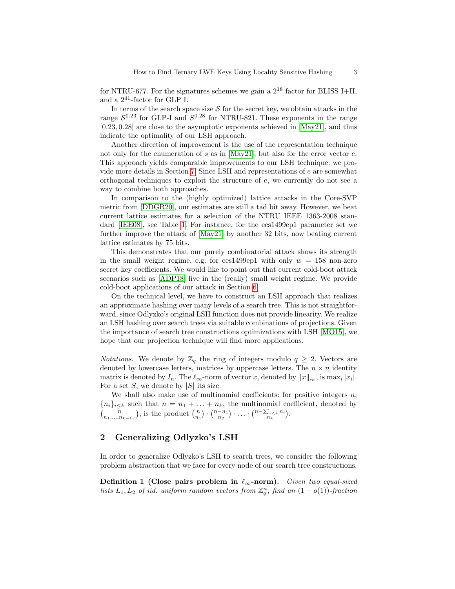<span id="page-2-2"></span>for NTRU-677. For the signatures schemes we gain a  $2^{18}$  factor for BLISS I+II, and a  $2^{41}$ -factor for GLP I.

In terms of the search space size  $S$  for the secret key, we obtain attacks in the range  $S^{0.23}$  for GLP-I and  $S^{0.28}$  for NTRU-821. These exponents in the range [0.23, 0.28] are close to the asymptotic exponents achieved in [\[May21\]](#page-23-0), and thus indicate the optimality of our LSH approach.

Another direction of improvement is the use of the representation technique not only for the enumeration of  $s$  as in [\[May21\]](#page-23-0), but also for the error vector  $e$ . This approach yields comparable improvements to our LSH technique: we provide more details in Section [7.](#page-16-0) Since LSH and representations of e are somewhat orthogonal techniques to exploit the structure of e, we currently do not see a way to combine both approaches.

In comparison to the (highly optimized) lattice attacks in the Core-SVP metric from [\[DDGR20\]](#page-22-4), our estimates are still a tad bit away. However, we beat current lattice estimates for a selection of the NTRU IEEE 1363-2008 standard [\[IEE08\]](#page-22-5), see Table [1.](#page-1-0) For instance, for the ees1499ep1 parameter set we further improve the attack of [\[May21\]](#page-23-0) by another 32 bits, now beating current lattice estimates by 75 bits.

This demonstrates that our purely combinatorial attack shows its strength in the small weight regime, e.g. for ees 1499ep1 with only  $w = 158$  non-zero secret key coefficients. We would like to point out that current cold-boot attack scenarios such as [\[ADP18\]](#page-20-1) live in the (really) small weight regime. We provide cold-boot applications of our attack in Section [6.](#page-14-0)

On the technical level, we have to construct an LSH approach that realizes an approximate hashing over many levels of a search tree. This is not straightforward, since Odlyzko's original LSH function does not provide linearity. We realize an LSH hashing over search trees via suitable combinations of projections. Given the importance of search tree constructions optimizations with LSH [\[MO15\]](#page-23-1), we hope that our projection technique will find more applications.

*Notations.* We denote by  $\mathbb{Z}_q$  the ring of integers modulo  $q \geq 2$ . Vectors are denoted by lowercase letters, matrices by uppercase letters. The  $n \times n$  identity matrix is denoted by  $I_n$ . The  $\ell_{\infty}$ -norm of vector x, denoted by  $||x||_{\infty}$ , is max<sub>i</sub> |x<sub>i</sub>|. For a set  $S$ , we denote by  $|S|$  its size.

We shall also make use of multinomial coefficients: for positive integers  $n$ ,  ${n_i}_{i\leq k}$  such that  $n = n_1 + \ldots + n_k$ , the multinomial coefficient, denoted by  $\binom{n}{n_1,\ldots,n_{k-1},\ldots}$ , is the product  $\binom{n}{n_1} \cdot \binom{n-n_1}{n_2} \cdot \ldots \cdot \binom{n-\sum_{i < k} n_i}{n_k}$ .

# <span id="page-2-1"></span>2 Generalizing Odlyzko's LSH

In order to generalize Odlyzko's LSH to search trees, we consider the following problem abstraction that we face for every node of our search tree constructions.

<span id="page-2-0"></span>Definition 1 (Close pairs problem in  $\ell_{\infty}$ -norm). Given two equal-sized lists  $L_1, L_2$  of iid. uniform random vectors from  $\mathbb{Z}_q^n$ , find an  $(1 - o(1))$ -fraction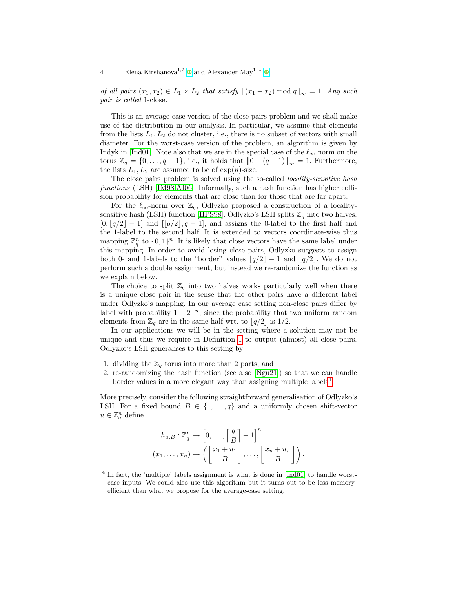<span id="page-3-1"></span>of all pairs  $(x_1, x_2) \in L_1 \times L_2$  that satisfy  $\|(x_1 - x_2) \mod q\|_{\infty} = 1$ . Any such pair is called 1-close.

This is an average-case version of the close pairs problem and we shall make use of the distribution in our analysis. In particular, we assume that elements from the lists  $L_1, L_2$  do not cluster, i.e., there is no subset of vectors with small diameter. For the worst-case version of the problem, an algorithm is given by Indyk in [\[Ind01\]](#page-23-2). Note also that we are in the special case of the  $\ell_{\infty}$  norm on the torus  $\mathbb{Z}_q = \{0, \ldots, q-1\}$ , i.e., it holds that  $\|0 - (q-1)\|_{\infty} = 1$ . Furthermore, the lists  $L_1, L_2$  are assumed to be of  $\exp(n)$ -size.

The close pairs problem is solved using the so-called *locality-sensitive hash* functions (LSH) [\[IM98,](#page-22-9)[AI06\]](#page-20-2). Informally, such a hash function has higher collision probability for elements that are close than for those that are far apart.

For the  $\ell_{\infty}$ -norm over  $\mathbb{Z}_q$ , Odlyzko proposed a construction of a locality-sensitive hash (LSH) function [\[HPS98\]](#page-22-0). Odlyzko's LSH splits  $\mathbb{Z}_q$  into two halves:  $[0, \lfloor q/2 \rfloor - 1]$  and  $[\lfloor q/2 \rfloor, q - 1]$ , and assigns the 0-label to the first half and the 1-label to the second half. It is extended to vectors coordinate-wise thus mapping  $\mathbb{Z}_q^n$  to  $\{0,1\}^n$ . It is likely that close vectors have the same label under this mapping. In order to avoid losing close pairs, Odlyzko suggests to assign both 0- and 1-labels to the "border" values  $\lfloor q/2 \rfloor - 1$  and  $\lfloor q/2 \rfloor$ . We do not perform such a double assignment, but instead we re-randomize the function as we explain below.

The choice to split  $\mathbb{Z}_q$  into two halves works particularly well when there is a unique close pair in the sense that the other pairs have a different label under Odlyzko's mapping. In our average case setting non-close pairs differ by label with probability  $1 - 2^{-n}$ , since the probability that two uniform random elements from  $\mathbb{Z}_q$  are in the same half wrt. to  $\lfloor q/2 \rfloor$  is 1/2.

In our applications we will be in the setting where a solution may not be unique and thus we require in Definition [1](#page-2-0) to output (almost) all close pairs. Odlyzko's LSH generalises to this setting by

- 1. dividing the  $\mathbb{Z}_q$  torus into more than 2 parts, and
- 2. re-randomizing the hash function (see also [\[Ngu21\]](#page-23-3)) so that we can handle border values in a more elegant way than assigning multiple labels<sup>[4](#page-3-0)</sup>.

More precisely, consider the following straightforward generalisation of Odlyzko's LSH. For a fixed bound  $B \in \{1, \ldots, q\}$  and a uniformly chosen shift-vector  $u \in \mathbb{Z}_q^n$  define

$$
h_{u,B}: \mathbb{Z}_q^n \to \left[0, \ldots, \left\lceil \frac{q}{B} \right\rceil - 1\right]^n
$$
  

$$
(x_1, \ldots, x_n) \mapsto \left(\left\lfloor \frac{x_1 + u_1}{B} \right\rfloor, \ldots, \left\lfloor \frac{x_n + u_n}{B} \right\rfloor\right).
$$

<span id="page-3-0"></span><sup>&</sup>lt;sup>4</sup> In fact, the 'multiple' labels assignment is what is done in [\[Ind01\]](#page-23-2) to handle worstcase inputs. We could also use this algorithm but it turns out to be less memoryefficient than what we propose for the average-case setting.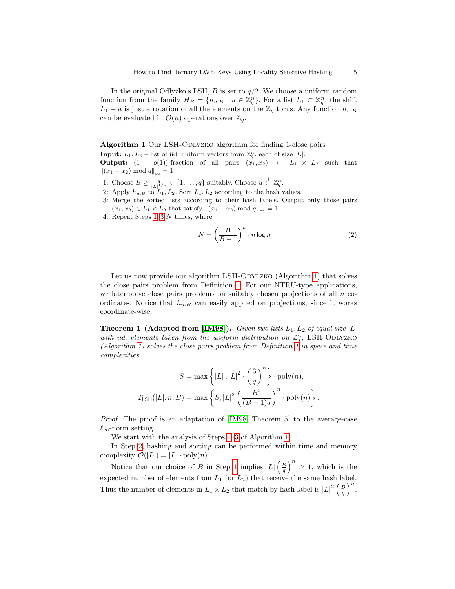<span id="page-4-6"></span>In the original Odlyzko's LSH, B is set to  $q/2$ . We choose a uniform random function from the family  $H_B = \{h_{u,B} \mid u \in \mathbb{Z}_q^n\}$ . For a list  $L_1 \subset \mathbb{Z}_q^n$ , the shift  $L_1 + u$  is just a rotation of all the elements on the  $\mathbb{Z}_q$  torus. Any function  $h_{u,B}$ can be evaluated in  $\mathcal{O}(n)$  operations over  $\mathbb{Z}_q$ .

<span id="page-4-2"></span>Algorithm 1 Our LSH-ODLYZKO algorithm for finding 1-close pairs

**Input:**  $L_1, L_2$  – list of iid. uniform vectors from  $\mathbb{Z}_q^n$ , each of size |L|. **Output:**  $(1 - o(1))$ -fraction of all pairs  $(x_1, x_2) \in L_1 \times L_2$  such that  $||(x_1 - x_2) \bmod q||_{\infty} = 1$ 

- <span id="page-4-0"></span>1: Choose  $B \geq \frac{q}{|L|^{1/n}} \in \{1, \ldots, q\}$  suitably. Choose  $u \stackrel{\$}{\leftarrow} \mathbb{Z}_q^n$ .
- <span id="page-4-3"></span>2: Apply  $h_{u,B}$  to  $L_1, L_2$ . Sort  $L_1, L_2$  according to the hash values.
- <span id="page-4-1"></span>3: Merge the sorted lists according to their hash labels. Output only those pairs  $(x_1, x_2) \in L_1 \times L_2$  that satisfy  $\|(x_1 - x_2) \mod q\|_{\infty} = 1$
- 4: Repeat Steps [1](#page-4-0)[–3](#page-4-1) N times, where

<span id="page-4-4"></span>
$$
N = \left(\frac{B}{B-1}\right)^n \cdot n \log n \tag{2}
$$

Let us now provide our algorithm LSH-ODYLZKO (Algorithm [1\)](#page-4-2) that solves the close pairs problem from Definition [1.](#page-2-0) For our NTRU-type applications, we later solve close pairs problems on suitably chosen projections of all  $n$  coordinates. Notice that  $h_{u,B}$  can easily applied on projections, since it works coordinate-wise.

<span id="page-4-5"></span>**Theorem 1 (Adapted from [\[IM98\]](#page-22-9)).** Given two lists  $L_1, L_2$  of equal size  $|L|$ with iid. elements taken from the uniform distribution on  $\mathbb{Z}_q^n$ , LSH-ODLYZKO (Algorithm [1\)](#page-4-2) solves the close pairs problem from Definition  $\tilde{I}$  in space and time complexities

$$
S = \max \left\{ |L|, |L|^2 \cdot \left(\frac{3}{q}\right)^n \right\} \cdot \text{poly}(n),
$$
  

$$
T_{\text{LSH}}(|L|, n, B) = \max \left\{ S, |L|^2 \left(\frac{B^2}{(B-1)q}\right)^n \cdot \text{poly}(n) \right\}.
$$

Proof. The proof is an adaptation of [\[IM98,](#page-22-9) Theorem 5] to the average-case  $\ell_{\infty}$ -norm setting.

We start with the analysis of Steps [1–](#page-4-0)[3](#page-4-1) of Algorithm [1.](#page-4-2)

In Step [2,](#page-4-3) hashing and sorting can be performed within time and memory complexity  $\mathcal{O}(|L|) = |L| \cdot \text{poly}(n)$ .

Notice that our choice of B in Step [1](#page-4-0) implies  $|L|\left(\frac{B}{q}\right)^n \geq 1$ , which is the expected number of elements from  $L_1$  (or  $L_2$ ) that receive the same hash label. Thus the number of elements in  $L_1 \times L_2$  that match by hash label is  $|L|^2 \left(\frac{B}{q}\right)^n$ ,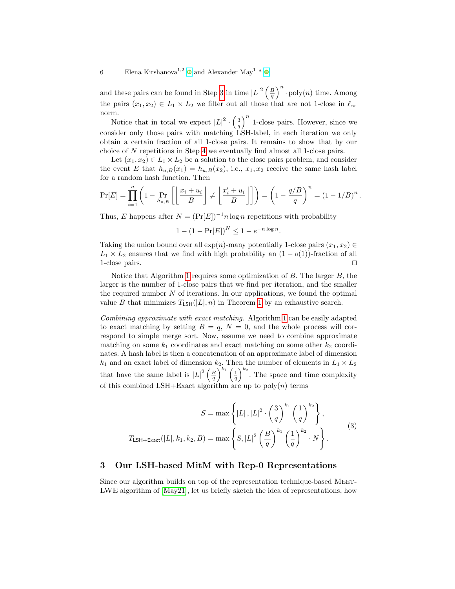<span id="page-5-1"></span>and these pairs can be found in Step [3](#page-4-1) in time  $|L|^2 \left(\frac{B}{q}\right)^n$  · poly $(n)$  time. Among the pairs  $(x_1, x_2) \in L_1 \times L_2$  we filter out all those that are not 1-close in  $\ell_{\infty}$ norm.

Notice that in total we expect  $|L|^2 \cdot \left(\frac{3}{q}\right)^n$  1-close pairs. However, since we consider only those pairs with matching LSH-label, in each iteration we only obtain a certain fraction of all 1-close pairs. It remains to show that by our choice of N repetitions in Step [4](#page-4-4) we eventually find almost all 1-close pairs.

Let  $(x_1, x_2) \in L_1 \times L_2$  be a solution to the close pairs problem, and consider the event E that  $h_{u,B}(x_1) = h_{u,B}(x_2)$ , i.e.,  $x_1, x_2$  receive the same hash label for a random hash function. Then

$$
\Pr[E] = \prod_{i=1}^{n} \left( 1 - \Pr_{h_{u,B}} \left[ \left\lfloor \frac{x_i + u_i}{B} \right\rfloor \neq \left\lfloor \frac{x'_i + u_i}{B} \right\rfloor \right] \right) = \left( 1 - \frac{q/B}{q} \right)^n = \left( 1 - 1/B \right)^n
$$

.

Thus, E happens after  $N = (\Pr[E])^{-1} n \log n$  repetitions with probability

$$
1 - (1 - \Pr[E])^{N} \le 1 - e^{-n \log n}.
$$

Taking the union bound over all  $\exp(n)$ -many potentially 1-close pairs  $(x_1, x_2) \in$  $L_1 \times L_2$  ensures that we find with high probability an  $(1 - o(1))$ -fraction of all 1-close pairs.  $\Box$ 

Notice that Algorithm [1](#page-4-2) requires some optimization of B. The larger B, the larger is the number of 1-close pairs that we find per iteration, and the smaller the required number  $N$  of iterations. In our applications, we found the optimal value B that minimizes  $T_{\text{LSH}}(|L|, n)$  in Theorem [1](#page-4-5) by an exhaustive search.

Combining approximate with exact matching. Algorithm [1](#page-4-2) can be easily adapted to exact matching by setting  $B = q$ ,  $N = 0$ , and the whole process will correspond to simple merge sort. Now, assume we need to combine approximate matching on some  $k_1$  coordinates and exact matching on some other  $k_2$  coordinates. A hash label is then a concatenation of an approximate label of dimension  $k_1$  and an exact label of dimension  $k_2$ . Then the number of elements in  $L_1 \times L_2$ that have the same label is  $|L|^2 \left(\frac{B}{q}\right)^{k_1} \left(\frac{1}{q}\right)^{k_2}$ . The space and time complexity of this combined LSH+Exact algorithm are up to  $poly(n)$  terms

$$
S = \max\left\{|L|, |L|^2 \cdot \left(\frac{3}{q}\right)^{k_1} \left(\frac{1}{q}\right)^{k_2}\right\},\
$$
  

$$
T_{\text{LSH+Exact}}(|L|, k_1, k_2, B) = \max\left\{S, |L|^2 \left(\frac{B}{q}\right)^{k_1} \left(\frac{1}{q}\right)^{k_2} \cdot N\right\}.
$$

$$
(3)
$$

### <span id="page-5-0"></span>3 Our LSH-based MitM with Rep-0 Representations

Since our algorithm builds on top of the representation technique-based MEET-LWE algorithm of [\[May21\]](#page-23-0), let us briefly sketch the idea of representations, how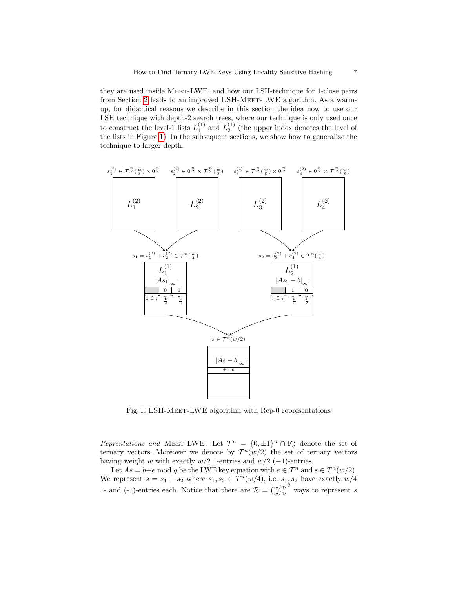they are used inside Meet-LWE, and how our LSH-technique for 1-close pairs from Section [2](#page-2-1) leads to an improved LSH-MEET-LWE algorithm. As a warmup, for didactical reasons we describe in this section the idea how to use our LSH technique with depth-2 search trees, where our technique is only used once to construct the level-1 lists  $L_1^{(1)}$  and  $L_2^{(1)}$  (the upper index denotes the level of the lists in Figure [1\)](#page-6-0). In the subsequent sections, we show how to generalize the technique to larger depth.

<span id="page-6-0"></span>

Fig. 1: LSH-MEET-LWE algorithm with Rep-0 representations

Reprentations and MEET-LWE. Let  $\mathcal{T}^n = \{0, \pm 1\}^n \cap \mathbb{F}_q^n$  denote the set of ternary vectors. Moreover we denote by  $\mathcal{T}^n(w/2)$  the set of ternary vectors having weight w with exactly  $w/2$  1-entries and  $w/2$  (-1)-entries.

Let  $As = b + e \text{ mod } q$  be the LWE key equation with  $e \in \mathcal{T}^n$  and  $s \in T^n(w/2)$ . We represent  $s = s_1 + s_2$  where  $s_1, s_2 \in T^n(w/4)$ , i.e.  $s_1, s_2$  have exactly  $w/4$ 1- and (-1)-entries each. Notice that there are  $\mathcal{R} = \binom{w/2}{w/4}^2$  ways to represent s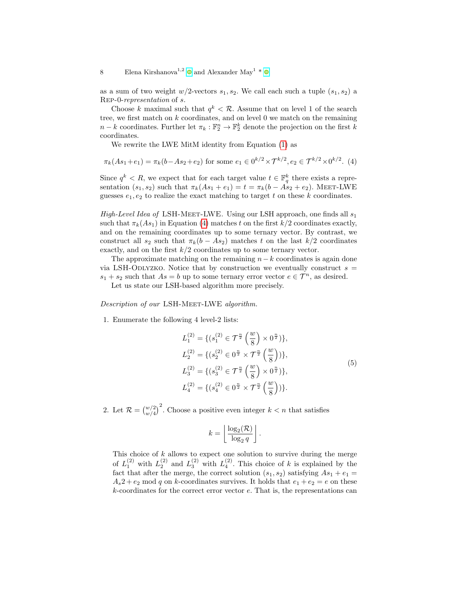as a sum of two weight  $w/2$ -vectors  $s_1, s_2$ . We call each such a tuple  $(s_1, s_2)$  a Rep-0-representation of s.

Choose k maximal such that  $q^k < \mathcal{R}$ . Assume that on level 1 of the search tree, we first match on  $k$  coordinates, and on level  $0$  we match on the remaining  $n - k$  coordinates. Further let  $\pi_k : \mathbb{F}_2^n \to \mathbb{F}_2^k$  denote the projection on the first  $\tilde{k}$ coordinates.

We rewrite the LWE MitM identity from Equation [\(1\)](#page-0-0) as

<span id="page-7-0"></span>
$$
\pi_k(As_1 + e_1) = \pi_k(b - As_2 + e_2) \text{ for some } e_1 \in 0^{k/2} \times T^{k/2}, e_2 \in T^{k/2} \times 0^{k/2}. \tag{4}
$$

Since  $q^k < R$ , we expect that for each target value  $t \in \mathbb{F}_q^k$  there exists a representation  $(s_1, s_2)$  such that  $\pi_k(As_1 + e_1) = t = \pi_k(b - \hat{As}_2 + e_2)$ . MEET-LWE guesses  $e_1, e_2$  to realize the exact matching to target t on these k coordinates.

High-Level Idea of LSH-MEET-LWE. Using our LSH approach, one finds all  $s_1$ such that  $\pi_k(As_1)$  in Equation [\(4\)](#page-7-0) matches t on the first  $k/2$  coordinates exactly, and on the remaining coordinates up to some ternary vector. By contrast, we construct all  $s_2$  such that  $\pi_k(b - As_2)$  matches t on the last  $k/2$  coordinates exactly, and on the first  $k/2$  coordinates up to some ternary vector.

The approximate matching on the remaining  $n-k$  coordinates is again done via LSH-ODLYZKO. Notice that by construction we eventually construct  $s =$  $s_1 + s_2$  such that  $As = b$  up to some ternary error vector  $e \in \mathcal{T}^n$ , as desired.

Let us state our LSH-based algorithm more precisely.

Description of our LSH-MEET-LWE algorithm.

1. Enumerate the following 4 level-2 lists:

$$
L_1^{(2)} = \{ (s_1^{(2)} \in \mathcal{T}^{\frac{n}{2}} \left( \frac{w}{8} \right) \times 0^{\frac{n}{2}} ) \},
$$
  
\n
$$
L_2^{(2)} = \{ (s_2^{(2)} \in 0^{\frac{n}{2}} \times \mathcal{T}^{\frac{n}{2}} \left( \frac{w}{8} \right) ) \},
$$
  
\n
$$
L_3^{(2)} = \{ (s_3^{(2)} \in \mathcal{T}^{\frac{n}{2}} \left( \frac{w}{8} \right) \times 0^{\frac{n}{2}} ) \},
$$
  
\n
$$
L_4^{(2)} = \{ (s_4^{(2)} \in 0^{\frac{n}{2}} \times \mathcal{T}^{\frac{n}{2}} \left( \frac{w}{8} \right) ) \}.
$$
  
\n(5)

<span id="page-7-1"></span>.

2. Let  $\mathcal{R} = \begin{pmatrix} w/2 \\ w/4 \end{pmatrix}^2$ . Choose a positive even integer  $k < n$  that satisfies

$$
k = \left\lfloor \frac{\log_2(\mathcal{R})}{\log_2 q} \right\rfloor
$$

This choice of  $k$  allows to expect one solution to survive during the merge of  $L_1^{(2)}$  with  $L_2^{(2)}$  and  $L_3^{(2)}$  with  $L_4^{(2)}$ . This choice of k is explained by the fact that after the merge, the correct solution  $(s_1, s_2)$  satisfying  $As_1 + e_1 =$  $A_s^2 + e_2$  mod q on k-coordinates survives. It holds that  $e_1 + e_2 = e$  on these k-coordinates for the correct error vector e. That is, the representations can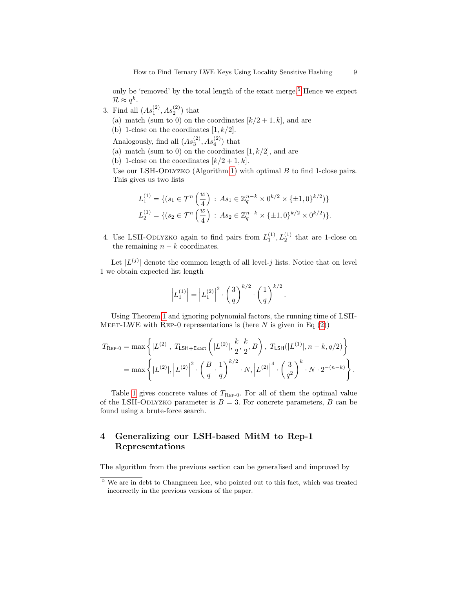only be 'removed' by the total length of the exact merge.<sup>[5](#page-8-0)</sup> Hence we expect  $\mathcal{R} \approx q^k$  .

- 3. Find all  $(As_1^{(2)}, As_2^{(2)})$  that
	- (a) match (sum to 0) on the coordinates  $[k/2+1, k]$ , and are
	- (b) 1-close on the coordinates  $[1, k/2]$ .

Analogously, find all  $(As_3^{(2)}, As_4^{(2)})$  that

- (a) match (sum to 0) on the coordinates  $[1, k/2]$ , and are
- (b) 1-close on the coordinates  $[k/2+1, k]$ .

Use our LSH-ODLYZKO (Algorithm [1\)](#page-4-2) with optimal  $B$  to find 1-close pairs. This gives us two lists

$$
L_1^{(1)} = \{ (s_1 \in \mathcal{T}^n \left( \frac{w}{4} \right) : As_1 \in \mathbb{Z}_q^{n-k} \times 0^{k/2} \times \{ \pm 1, 0 \}^{k/2}) \}
$$
  

$$
L_2^{(1)} = \{ (s_2 \in \mathcal{T}^n \left( \frac{w}{4} \right) : As_2 \in \mathbb{Z}_q^{n-k} \times \{ \pm 1, 0 \}^{k/2} \times 0^{k/2} ) \}.
$$

4. Use LSH-ODLYZKO again to find pairs from  $L_1^{(1)}$ ,  $L_2^{(1)}$  that are 1-close on the remaining  $n - k$  coordinates.

Let  $|L^{(j)}|$  denote the common length of all level-j lists. Notice that on level 1 we obtain expected list length

$$
\left| L_1^{(1)} \right| = \left| L_1^{(2)} \right|^2 \cdot \left( \frac{3}{q} \right)^{k/2} \cdot \left( \frac{1}{q} \right)^{k/2}.
$$

Using Theorem [1](#page-4-5) and ignoring polynomial factors, the running time of LSH-MEET-LWE with REP-0 representations is (here  $N$  is given in Eq  $(2)$ )

$$
T_{\text{REP-0}} = \max \left\{ |L^{(2)}|, T_{\text{LSH+Exact}} \left( |L^{(2)}|, \frac{k}{2}, \frac{k}{2}, B \right), T_{\text{LSH}}(|L^{(1)}|, n - k, q/2) \right\}
$$
  
= 
$$
\max \left\{ |L^{(2)}|, \left| L^{(2)} \right|^2 \cdot \left( \frac{B}{q} \cdot \frac{1}{q} \right)^{k/2} \cdot N, \left| L^{(2)} \right|^4 \cdot \left( \frac{3}{q^2} \right)^k \cdot N \cdot 2^{-(n-k)} \right\}.
$$

Table [1](#page-6-0) gives concrete values of  $T_{\text{REP-0}}$ . For all of them the optimal value of the LSH-ODLYZKO parameter is  $B = 3$ . For concrete parameters, B can be found using a brute-force search.

# <span id="page-8-1"></span>4 Generalizing our LSH-based MitM to Rep-1 Representations

The algorithm from the previous section can be generalised and improved by

<span id="page-8-0"></span><sup>5</sup> We are in debt to Changmeen Lee, who pointed out to this fact, which was treated incorrectly in the previous versions of the paper.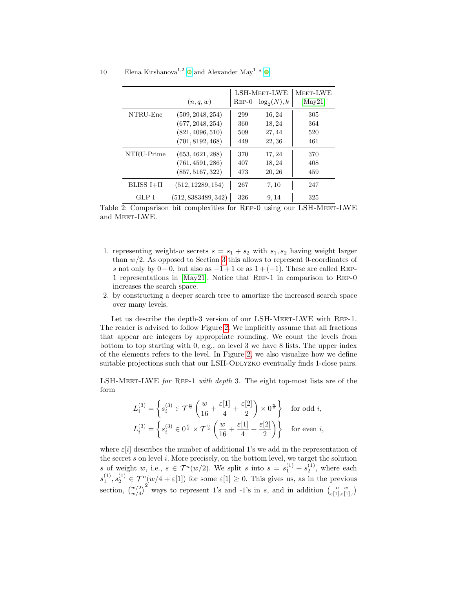<span id="page-9-0"></span>

|                   | (n,q,w)             | $REP-0$ | LSH-MEET-LWE<br>$\log_2(N)$ , k | MEET-LWE<br>[May21] |
|-------------------|---------------------|---------|---------------------------------|---------------------|
| NTRU-Enc          | (509, 2048, 254)    | 299     | 16, 24                          | 305                 |
|                   | (677, 2048, 254)    | 360     | 18, 24                          | 364                 |
|                   | (821, 4096, 510)    | 509     | 27, 44                          | 520                 |
|                   | (701, 8192, 468)    | 449     | 22,36                           | 461                 |
| NTRU-Prime        | (653, 4621, 288)    | 370     | 17, 24                          | 370                 |
|                   | (761, 4591, 286)    | 407     | 18, 24                          | 408                 |
|                   | (857, 5167, 322)    | 473     | 20, 26                          | 459                 |
| <b>BLISS I+II</b> | (512, 12289, 154)   | 267     | 7,10                            | 247                 |
| GLP I             | (512, 8383489, 342) | 326     | 9, 14                           | 325                 |

Table 2: Comparison bit complexities for REP-0 using our LSH-MEET-LWE and MEET-LWE.

- 1. representing weight-w secrets  $s = s_1 + s_2$  with  $s_1, s_2$  having weight larger than  $w/2$ . As opposed to Section [3](#page-5-0) this allows to represent 0-coordinates of s not only by  $0+0$ , but also as  $-1+1$  or as  $1+(-1)$ . These are called REP-1 representations in [\[May21\]](#page-23-0). Notice that Rep-1 in comparison to Rep-0 increases the search space.
- 2. by constructing a deeper search tree to amortize the increased search space over many levels.

Let us describe the depth-3 version of our LSH-MEET-LWE with REP-1. The reader is advised to follow Figure [2.](#page-10-0) We implicitly assume that all fractions that appear are integers by appropriate rounding. We count the levels from bottom to top starting with 0, e.g., on level 3 we have 8 lists. The upper index of the elements refers to the level. In Figure [2,](#page-10-0) we also visualize how we define suitable projections such that our LSH-ODLYZKO eventually finds 1-close pairs.

LSH-MEET-LWE for REP-1 with depth 3. The eight top-most lists are of the form

$$
L_i^{(3)} = \left\{ s_i^{(3)} \in \mathcal{T}^{\frac{n}{2}} \left( \frac{w}{16} + \frac{\varepsilon[1]}{4} + \frac{\varepsilon[2]}{2} \right) \times 0^{\frac{n}{2}} \right\} \text{ for odd } i,
$$
  

$$
L_i^{(3)} = \left\{ s_i^{(3)} \in 0^{\frac{n}{2}} \times \mathcal{T}^{\frac{n}{2}} \left( \frac{w}{16} + \frac{\varepsilon[1]}{4} + \frac{\varepsilon[2]}{2} \right) \right\} \text{ for even } i,
$$

where  $\varepsilon[i]$  describes the number of additional 1's we add in the representation of the secret  $s$  on level  $i$ . More precisely, on the bottom level, we target the solution s of weight w, i.e.,  $s \in \mathcal{T}^n(w/2)$ . We split s into  $s = s_1^{(1)} + s_2^{(1)}$ , where each  $s_1^{(1)}, s_2^{(1)} \in \mathcal{T}^n(w/4 + \varepsilon[1])$  for some  $\varepsilon[1] \geq 0$ . This gives us, as in the previous section,  $\binom{w/2}{w/4}^2$  ways to represent 1's and -1's in s, and in addition  $\binom{n-w}{\varepsilon[1],\varepsilon[1],\cdot}$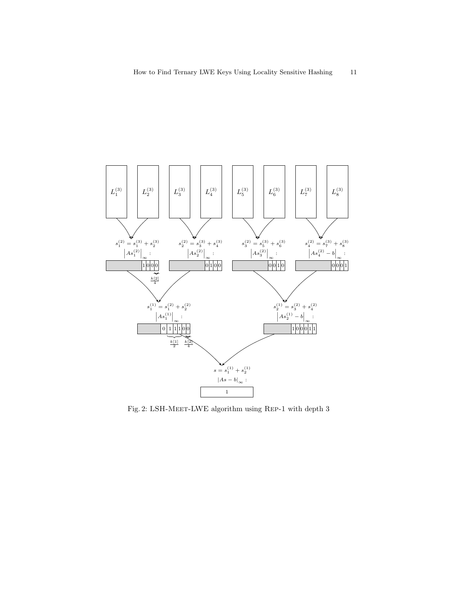<span id="page-10-0"></span>

Fig. 2: LSH-MEET-LWE algorithm using REP-1 with depth 3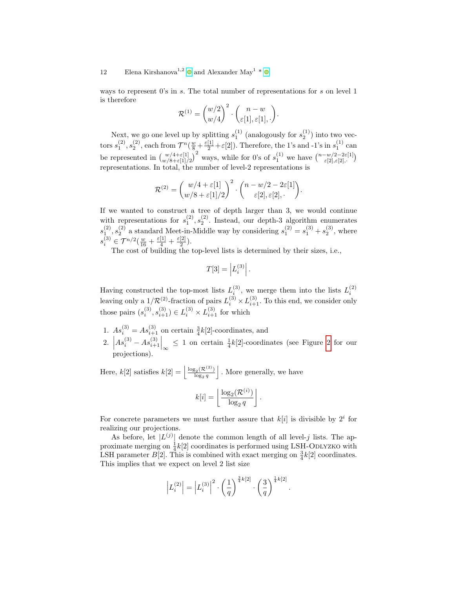ways to represent 0's in s. The total number of representations for s on level 1 is therefore

$$
\mathcal{R}^{(1)} = {w/2 \choose w/4}^2 \cdot {n-w \choose \varepsilon[1], \varepsilon[1],}.
$$

Next, we go one level up by splitting  $s_1^{(1)}$  (analogously for  $s_2^{(1)}$ ) into two vectors  $s_1^{(2)}, s_2^{(2)}$ , each from  $\mathcal{T}^n(\frac{w}{8} + \frac{\varepsilon[1]}{2} + \varepsilon[2])$ . Therefore, the 1's and -1's in  $s_1^{(1)}$  can be represented in  $\binom{w/4+\varepsilon[1]}{w/8+\varepsilon[1]/2}$  ways, while for 0's of  $s_1^{(1)}$  we have  $\binom{n-w/2-2\varepsilon[1]}{\varepsilon[2],\varepsilon[2],\varepsilon[1]}$ representations. In total, the number of level-2 representations is

$$
\mathcal R^{(2)} = \binom{w/4+\varepsilon[1]}{w/8+\varepsilon[1]/2}^2\cdot\binom{n-w/2-2\varepsilon[1]}{\varepsilon[2],\varepsilon[2],}.
$$

If we wanted to construct a tree of depth larger than 3, we would continue with representations for  $s_1^{(2)}, s_2^{(2)}$ . Instead, our depth-3 algorithm enumerates  $s_1^{(2)}, s_2^{(2)}$  a standard Meet-in-Middle way by considering  $s_1^{(2)} = s_1^{(3)} + s_2^{(3)}$ , where  $s_i^{(3)} \in \mathcal{T}^{n/2}(\frac{w}{16}+\frac{\varepsilon[1]}{4}+\frac{\varepsilon[2]}{2}$  $\frac{2}{2}$ ).

The cost of building the top-level lists is determined by their sizes, i.e.,

$$
T[3] = \left| L_i^{(3)} \right|.
$$

Having constructed the top-most lists  $L_i^{(3)}$ , we merge them into the lists  $L_i^{(2)}$  leaving only a  $1/\mathcal{R}^{(2)}$ -fraction of pairs  $L_i^{(3)} \times L_{i+1}^{(3)}$ . To this end, we consider only those pairs  $(s_i^{(3)}, s_{i+1}^{(3)}) \in L_i^{(3)} \times L_{i+1}^{(3)}$  for which

1.  $As_i^{(3)} = As_{i+1}^{(3)}$  on certain  $\frac{3}{4}k[2]$ -coordinates, and 2.  $\left| As_i^{(3)} - As_{i+1}^{(3)} \right|_{\infty} \leq 1$  on certain  $\frac{1}{4}k[2]$ -coordinates (see Figure [2](#page-10-0) for our projections).

Here,  $k[2]$  satisfies  $k[2] = \frac{\log_2(\mathcal{R}^{(2)})}{\log a}$  $\frac{\log_2(\mathcal{R}^{(2)})}{\log_2 q}$ . More generally, we have

$$
k[i] = \left\lfloor \frac{\log_2(\mathcal{R}^{(i)})}{\log_2 q} \right\rfloor.
$$

For concrete parameters we must further assure that  $k[i]$  is divisible by  $2^i$  for realizing our projections.

As before, let  $|L^{(j)}|$  denote the common length of all level-j lists. The approximate merging on  $\frac{1}{4}k[2]$  coordinates is performed using LSH-ODLYZKO with LSH parameter  $B[2]$ . This is combined with exact merging on  $\frac{3}{4}k[2]$  coordinates. This implies that we expect on level 2 list size

$$
\left| L_i^{(2)} \right| = \left| L_i^{(3)} \right|^2 \cdot \left( \frac{1}{q} \right)^{\frac{3}{4}k[2]} \cdot \left( \frac{3}{q} \right)^{\frac{1}{4}k[2]}.
$$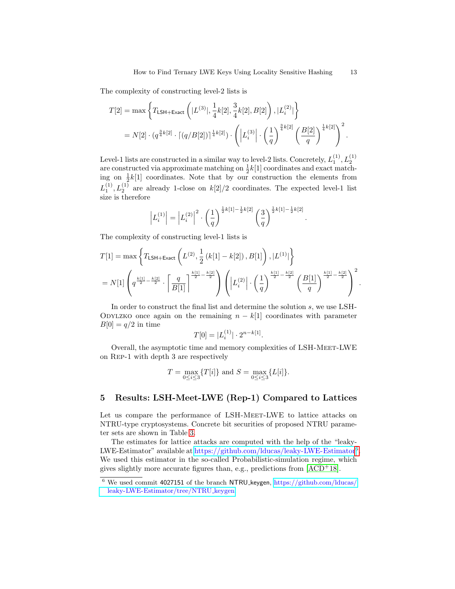<span id="page-12-1"></span>The complexity of constructing level-2 lists is

$$
T[2] = \max \left\{ T_{\text{LSH} + \text{Exact}} \left( |L^{(3)}|, \frac{1}{4} k[2], \frac{3}{4} k[2], B[2] \right), |L_i^{(2)}| \right\}
$$
  
=  $N[2] \cdot (q^{\frac{3}{4}k[2]} \cdot \lceil (q/B[2]) \rceil^{\frac{1}{4}k[2]} \cdot \left( \lceil L_i^{(3)} \rceil \cdot \left( \frac{1}{q} \right)^{\frac{3}{4}k[2]} \left( \frac{B[2]}{q} \right)^{\frac{1}{4}k[2]} \right)^2$ .

Level-1 lists are constructed in a similar way to level-2 lists. Concretely,  $L_1^{(1)}, L_2^{(1)}$ are constructed via approximate matching on  $\frac{1}{2}k[1]$  coordinates and exact matching on  $\frac{1}{2}k[1]$  coordinates. Note that by our construction the elements from  $L_1^{(1)}$ ,  $L_2^{(1)}$  are already 1-close on  $k[2]/2$  coordinates. The expected level-1 list size is therefore

$$
\left| L_i^{(1)} \right| = \left| L_i^{(2)} \right|^2 \cdot \left( \frac{1}{q} \right)^{\frac{1}{2}k[1] - \frac{1}{2}k[2]} \left( \frac{3}{q} \right)^{\frac{1}{2}k[1] - \frac{1}{2}k[2]}.
$$

The complexity of constructing level-1 lists is

$$
T[1] = \max \left\{ T_{\text{LSH+Exact}} \left( L^{(2)}, \frac{1}{2} \left( k[1] - k[2] \right), B[1] \right), |L^{(1)}| \right\}
$$
  
=  $N[1] \left( q^{\frac{k[1]}{2} - \frac{k[2]}{2}} \cdot \left[ \frac{q}{B[1]} \right]^{\frac{k[1]}{2} - \frac{k[2]}{2}} \right) \left( \left| L_i^{(2)} \right| \cdot \left( \frac{1}{q} \right)^{\frac{k[1]}{2} - \frac{k[2]}{2}} \left( \frac{B[1]}{q} \right)^{\frac{k[1]}{2} - \frac{k[2]}{2}} \right)^2.$ 

In order to construct the final list and determine the solution s, we use LSH-ODYLZKO once again on the remaining  $n - k[1]$  coordinates with parameter  $B[0] = q/2$  in time

$$
T[0] = |L_i^{(1)}| \cdot 2^{n-k[1]}.
$$

Overall, the asymptotic time and memory complexities of LSH-MEET-LWE on Rep-1 with depth 3 are respectively

$$
T = \max_{0 \le i \le 3} \{ T[i] \} \text{ and } S = \max_{0 \le i \le 3} \{ L[i] \}.
$$

# 5 Results: LSH-Meet-LWE (Rep-1) Compared to Lattices

Let us compare the performance of LSH-MEET-LWE to lattice attacks on NTRU-type cryptosystems. Concrete bit securities of proposed NTRU parameter sets are shown in Table [3.](#page-13-0)

The estimates for lattice attacks are computed with the help of the "leakyLWE-Estimator" available at <https://github.com/lducas/leaky-LWE-Estimator><sup>[6](#page-12-0)</sup>. We used this estimator in the so-called Probabilistic-simulation regime, which gives slightly more accurate figures than, e.g., predictions from  $[ACD+18]$  $[ACD+18]$ .

<span id="page-12-0"></span> $^6$  We used commit 4027151 of the branch NTRU keygen, [https://github.com/lducas/](https://github.com/lducas/leaky-LWE-Estimator/tree/NTRU_keygen) [leaky-LWE-Estimator/tree/NTRU](https://github.com/lducas/leaky-LWE-Estimator/tree/NTRU_keygen) keygen.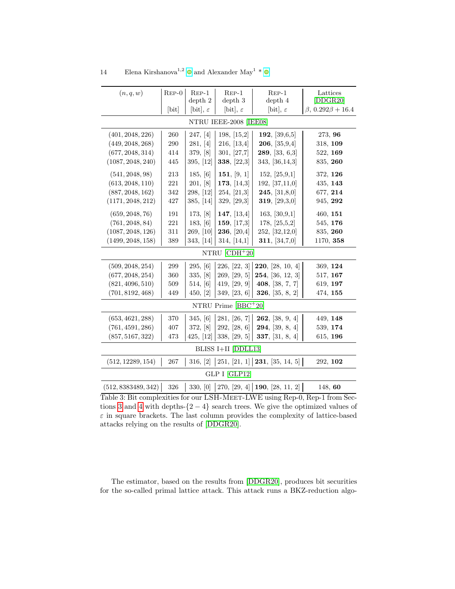<span id="page-13-1"></span><span id="page-13-0"></span>

| (n,q,w)                 | $REP-0$ | $REP-1$<br>depth 2   | $REP-1$<br>depth 3     | $REP-1$<br>depth 4       | Lattices<br>[DDGR20]           |  |
|-------------------------|---------|----------------------|------------------------|--------------------------|--------------------------------|--|
|                         | [bit]   | [bit], $\varepsilon$ | [bit], $\varepsilon$   | [bit], $\varepsilon$     | $\beta$ , 0.292 $\beta$ + 16.4 |  |
|                         |         |                      | NTRU IEEE-2008 [IEE08] |                          |                                |  |
| (401, 2048, 226)        | 260     | 247, [4]             | 198, [15,2]            | 192, [39,6,5]            | 273, 96                        |  |
| (449, 2048, 268)        | 290     | 281, [4]             | 216, [13,4]            | <b>206</b> , [35,9,4]    | 318, 109                       |  |
| (677, 2048, 314)        | 414     | 379, [8]             | 301, [27,7]            | 289, [33, 6,3]           | 522, 169                       |  |
| (1087, 2048, 240)       | 445     | 395, [12]            | 338, $[22,3]$          | 343, [36,14,3]           | 835, 260                       |  |
| (541, 2048, 98)         | 213     | 185, [6]             | 151, $[9, 1]$          | 152, [25, 9, 1]          | 372, 126                       |  |
| (613, 2048, 110)        | 221     | 201, [8]             | 173, $[14,3]$          | 192, [37,11,0]           | 435, 143                       |  |
| (887, 2048, 162)        | 342     | 298, [12]            | 254, [21,3]            | 245, [31,8,0]            | 677, 214                       |  |
| (1171, 2048, 212)       | 427     | 385, [14]            | 329, [29,3]            | 319, [29,3,0]            | 945, 292                       |  |
| (659, 2048, 76)         | 191     | 173, [8]             | 147, $[13,4]$          | 163, [30,9,1]            | 460, 151                       |  |
| (761, 2048, 84)         | 221     | 183, [6]             | 159, $[17,3]$          | 178, $[25,5,2]$          | 545, 176                       |  |
| (1087, 2048, 126)       | 311     | 269, [10]            | 236, [20,4]            | 252, [32,12,0]           | 835, 260                       |  |
| (1499, 2048, 158)       | 389     | 343, [14]            | 314, [14,1]            | 311, $[34,7,0]$          | 1170, 358                      |  |
| NTRU $[CDH^+20]$        |         |                      |                        |                          |                                |  |
| (509, 2048, 254)        | 299     | 295, [6]             | 226, [22, 3]           | <b>220</b> , [28, 10, 4] | 369, 124                       |  |
| (677, 2048, 254)        | 360     | 335, [8]             | 269, [29, 5]           | 254, [36, 12, 3]         | 517, 167                       |  |
| (821, 4096, 510)        | 509     | 514, [6]             | 419, [29, 9]           | 408, [38, 7, 7]          | 619, 197                       |  |
| (701, 8192, 468)        | 449     | 450, [2]             | 349, [23, 6]           | 326, [35, 8, 2]          | 474, 155                       |  |
| NTRU Prime $[BBC + 20]$ |         |                      |                        |                          |                                |  |
| (653, 4621, 288)        | 370     | 345, [6]             | 281, [26, 7]           | <b>262</b> , [38, 9, 4]  | 449, 148                       |  |
| (761, 4591, 286)        | 407     | 372, [8]             | 292, [28, 6]           | 294, [39, 8, 4]          | 539, 174                       |  |
| (857, 5167, 322)        | 473     | 425, [12]            | 338, [29, 5]           | 337, [31, 8, 4]          | 615, 196                       |  |
| BLISS I+II [DDLL13]     |         |                      |                        |                          |                                |  |
| (512, 12289, 154)       | 267     | 316, [2]             | 251, [21, 1]           | <b>231</b> , [35, 14, 5] | 292, 102                       |  |
| GLP I [GLP12]           |         |                      |                        |                          |                                |  |
| (512, 8383489, 342)     | 326     | 330, [0]             | 270, [29, 4]           | 190, [28, 11, 2]         | 148, 60                        |  |

Table 3: Bit complexities for our LSH-MEET-LWE using Rep-0, Rep-1 from Sec-tions [3](#page-5-0) and [4](#page-8-1) with depths- $\{2-4\}$  search trees. We give the optimized values of  $\varepsilon$  in square brackets. The last column provides the complexity of lattice-based attacks relying on the results of [\[DDGR20\]](#page-22-4).

The estimator, based on the results from [\[DDGR20\]](#page-22-4), produces bit securities for the so-called primal lattice attack. This attack runs a BKZ-reduction algo-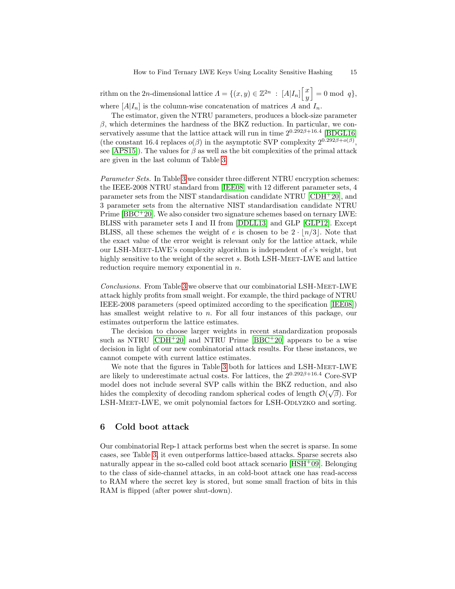<span id="page-14-1"></span>rithm on the 2n-dimensional lattice  $A = \{(x, y) \in \mathbb{Z}^{2n} : [A|I_n]\begin{bmatrix} x \ y \end{bmatrix}$  $\hat{y}$  $\big] = 0 \bmod q$ , where  $[A|I_n]$  is the column-wise concatenation of matrices A and  $I_n$ .

The estimator, given the NTRU parameters, produces a block-size parameter  $\beta$ , which determines the hardness of the BKZ reduction. In particular, we conservatively assume that the lattice attack will run in time  $2^{0.292\beta+16.4}$  [\[BDGL16\]](#page-22-10) (the constant 16.4 replaces  $o(\beta)$  in the asymptotic SVP complexity  $2^{0.292\beta + o(\beta)}$ , see [\[APS15\]](#page-20-4)). The values for  $\beta$  as well as the bit complexities of the primal attack are given in the last column of Table [3.](#page-13-0)

Parameter Sets. In Table [3](#page-13-0) we consider three different NTRU encryption schemes: the IEEE-2008 NTRU standard from [\[IEE08\]](#page-22-5) with 12 different parameter sets, 4 parameter sets from the NIST standardisation candidate NTRU [\[CDH](#page-22-6)+20], and 3 parameter sets from the alternative NIST standardisation candidate NTRU Prime  $[BBC + 20]$  $[BBC + 20]$ . We also consider two signature schemes based on ternary LWE: BLISS with parameter sets I and II from [\[DDLL13\]](#page-22-7) and GLP [\[GLP12\]](#page-22-8). Except BLISS, all these schemes the weight of e is chosen to be  $2 \cdot \lfloor n/3 \rfloor$ . Note that the exact value of the error weight is relevant only for the lattice attack, while our LSH-MEET-LWE's complexity algorithm is independent of  $e$ 's weight, but highly sensitive to the weight of the secret s. Both LSH-MEET-LWE and lattice reduction require memory exponential in *n*.

Conclusions. From Table [3](#page-13-0) we observe that our combinatorial LSH-MEET-LWE attack highly profits from small weight. For example, the third package of NTRU IEEE-2008 parameters (speed optimized according to the specification [\[IEE08\]](#page-22-5)) has smallest weight relative to n. For all four instances of this package, our estimates outperform the lattice estimates.

The decision to choose larger weights in recent standardization proposals such as NTRU  $[CDH^+20]$  $[CDH^+20]$  and NTRU Prime  $[BBC^+20]$  $[BBC^+20]$  appears to be a wise decision in light of our new combinatorial attack results. For these instances, we cannot compete with current lattice estimates.

We note that the figures in Table [3](#page-13-0) both for lattices and LSH-MEET-LWE are likely to underestimate actual costs. For lattices, the  $2^{0.292\beta+16.4}$  Core-SVP model does not include several SVP calls within the BKZ reduction, and also hides the complexity of decoding random spherical codes of length  $\mathcal{O}(\sqrt{\beta})$ . For LSH-MEET-LWE, we omit polynomial factors for LSH-ODLYZKO and sorting.

### <span id="page-14-0"></span>6 Cold boot attack

Our combinatorial Rep-1 attack performs best when the secret is sparse. In some cases, see Table [3,](#page-13-0) it even outperforms lattice-based attacks. Sparse secrets also naturally appear in the so-called cold boot attack scenario  $[HSH<sup>+</sup>09]$  $[HSH<sup>+</sup>09]$ . Belonging to the class of side-channel attacks, in an cold-boot attack one has read-access to RAM where the secret key is stored, but some small fraction of bits in this RAM is flipped (after power shut-down).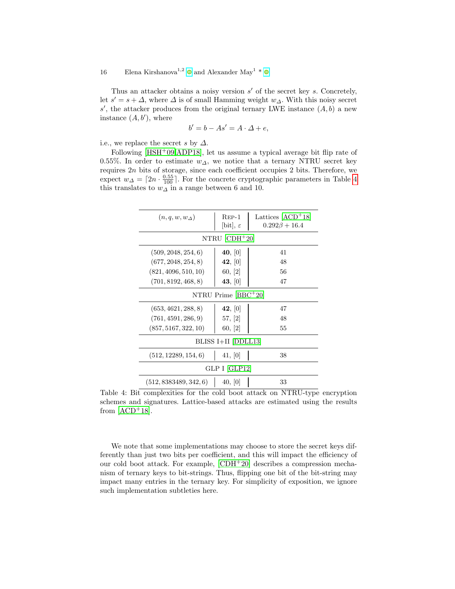<span id="page-15-1"></span>Thus an attacker obtains a noisy version  $s'$  of the secret key  $s$ . Concretely, let  $s' = s + \Delta$ , where  $\Delta$  is of small Hamming weight  $w_{\Delta}$ . With this noisy secret  $s'$ , the attacker produces from the original ternary LWE instance  $(A, b)$  a new instance  $(A, b')$ , where

$$
b' = b - As' = A \cdot \Delta + e,
$$

i.e., we replace the secret s by  $\Delta$ .

Following  $[HSH^+09, ADP18]$  $[HSH^+09, ADP18]$ , let us assume a typical average bit flip rate of 0.55%. In order to estimate  $w_{\Delta}$ , we notice that a ternary NTRU secret key requires  $2n$  bits of storage, since each coefficient occupies 2 bits. Therefore, we expect  $w_{\Delta} = \lceil 2n \cdot \frac{0.55}{100} \rceil$ . For the concrete cryptographic parameters in Table [4](#page-15-0) this translates to  $w_{\Delta}$  in a range between 6 and 10.

<span id="page-15-0"></span>

| $(n, q, w, w_{\Delta})$ | $REP-1$<br>$ bit , \varepsilon$ | Lattices $[ACD+18]$<br>$0.292\beta + 16.4$ |  |  |  |
|-------------------------|---------------------------------|--------------------------------------------|--|--|--|
| NTRU $[CDH^+20]$        |                                 |                                            |  |  |  |
| (509, 2048, 254, 6)     | 40, 0                           | 41                                         |  |  |  |
| (677, 2048, 254, 8)     | 42, [0]                         | 48                                         |  |  |  |
| (821, 4096, 510, 10)    | 60, [2]                         | 56                                         |  |  |  |
| (701, 8192, 468, 8)     | 43, [0]                         | 47                                         |  |  |  |
| NTRU Prime $[BBC + 20]$ |                                 |                                            |  |  |  |
| (653, 4621, 288, 8)     | 42, 0                           | 47                                         |  |  |  |
| (761, 4591, 286, 9)     | 57, [2]                         | 48                                         |  |  |  |
| (857, 5167, 322, 10)    | 60, [2]                         | 55                                         |  |  |  |
| BLISS I+II [DDLL13]     |                                 |                                            |  |  |  |
| (512, 12289, 154, 6)    | 41, [0]                         | 38                                         |  |  |  |
| GLP I [GLP12]           |                                 |                                            |  |  |  |
| (512, 8383489, 342, 6)  | 40,  0                          | 33                                         |  |  |  |

Table 4: Bit complexities for the cold boot attack on NTRU-type encryption schemes and signatures. Lattice-based attacks are estimated using the results from  $[ACD+18]$  $[ACD+18]$ .

We note that some implementations may choose to store the secret keys differently than just two bits per coefficient, and this will impact the efficiency of our cold boot attack. For example, [\[CDH](#page-22-6)<sup>+</sup>20] describes a compression mechanism of ternary keys to bit-strings. Thus, flipping one bit of the bit-string may impact many entries in the ternary key. For simplicity of exposition, we ignore such implementation subtleties here.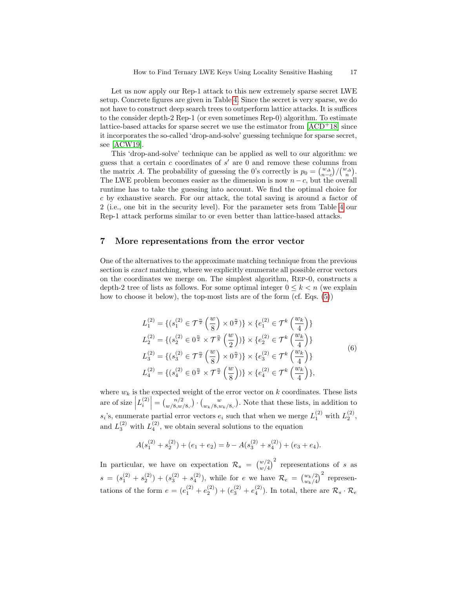<span id="page-16-1"></span>Let us now apply our Rep-1 attack to this new extremely sparse secret LWE setup. Concrete figures are given in Table [4.](#page-15-0) Since the secret is very sparse, we do not have to construct deep search trees to outperform lattice attacks. It is suffices to the consider depth-2 Rep-1 (or even sometimes Rep-0) algorithm. To estimate lattice-based attacks for sparse secret we use the estimator from  $[ACD<sup>+</sup>18]$  $[ACD<sup>+</sup>18]$  since it incorporates the so-called 'drop-and-solve' guessing technique for sparse secret, see [\[ACW19\]](#page-20-5).

This 'drop-and-solve' technique can be applied as well to our algorithm: we guess that a certain  $c$  coordinates of  $s'$  are 0 and remove these columns from the matrix A. The probability of guessing the 0's correctly is  $p_0 = \binom{w_\Delta}{n-c}/\binom{w_\Delta}{n}$ . The LWE problem becomes easier as the dimension is now  $n-c$ , but the overall runtime has to take the guessing into account. We find the optimal choice for c by exhaustive search. For our attack, the total saving is around a factor of 2 (i.e., one bit in the security level). For the parameter sets from Table [4](#page-15-0) our Rep-1 attack performs similar to or even better than lattice-based attacks.

# <span id="page-16-0"></span>7 More representations from the error vector

One of the alternatives to the approximate matching technique from the previous section is exact matching, where we explicitly enumerate all possible error vectors on the coordinates we merge on. The simplest algorithm, Rep-0, constructs a depth-2 tree of lists as follows. For some optimal integer  $0 \leq k \leq n$  (we explain how to choose it below), the top-most lists are of the form (cf. Eqs. [\(5\)](#page-7-1))

$$
L_1^{(2)} = \{ (s_1^{(2)} \in \mathcal{T}^{\frac{n}{2}}\left(\frac{w}{8}\right) \times 0^{\frac{n}{2}}) \} \times \{e_1^{(2)} \in \mathcal{T}^k\left(\frac{w_k}{4}\right) \}
$$
  
\n
$$
L_2^{(2)} = \{ (s_2^{(2)} \in 0^{\frac{n}{2}} \times \mathcal{T}^{\frac{n}{8}}\left(\frac{w}{2}\right)) \} \times \{e_2^{(2)} \in \mathcal{T}^k\left(\frac{w_k}{4}\right) \}
$$
  
\n
$$
L_3^{(2)} = \{ (s_3^{(2)} \in \mathcal{T}^{\frac{n}{2}}\left(\frac{w}{8}\right) \times 0^{\frac{n}{2}}) \} \times \{e_3^{(2)} \in \mathcal{T}^k\left(\frac{w_k}{4}\right) \}
$$
  
\n
$$
L_4^{(2)} = \{ (s_4^{(2)} \in 0^{\frac{n}{2}} \times \mathcal{T}^{\frac{n}{2}}\left(\frac{w}{8}\right)) \} \times \{e_4^{(2)} \in \mathcal{T}^k\left(\frac{w_k}{4}\right) \},
$$
  
\n(6)

where  $w_k$  is the expected weight of the error vector on k coordinates. These lists are of size  $\left| L_i^{(2)} \right| = {n/2 \choose w/8,w/8,} \cdot {w \choose w_k/8,w_k/8,}.$  Note that these lists, in addition to  $s_i$ 's, enumerate partial error vectors  $e_i$  such that when we merge  $L_1^{(2)}$  with  $L_2^{(2)}$ , and  $L_3^{(2)}$  with  $L_4^{(2)}$ , we obtain several solutions to the equation

$$
A(s_1^{(2)} + s_2^{(2)}) + (e_1 + e_2) = b - A(s_3^{(2)} + s_4^{(2)}) + (e_3 + e_4).
$$

In particular, we have on expectation  $\mathcal{R}_s = \binom{w/2}{w/4}^2$  representations of s as  $s = (s_1^{(2)} + s_2^{(2)}) + (s_3^{(2)} + s_4^{(2)})$ , while for e we have  $\mathcal{R}_e = \binom{w_k/2}{w_k/4}^2$  representations of the form  $e = (e_1^{(2)} + e_2^{(2)}) + (e_3^{(2)} + e_4^{(2)})$ . In total, there are  $\mathcal{R}_s \cdot \mathcal{R}_e$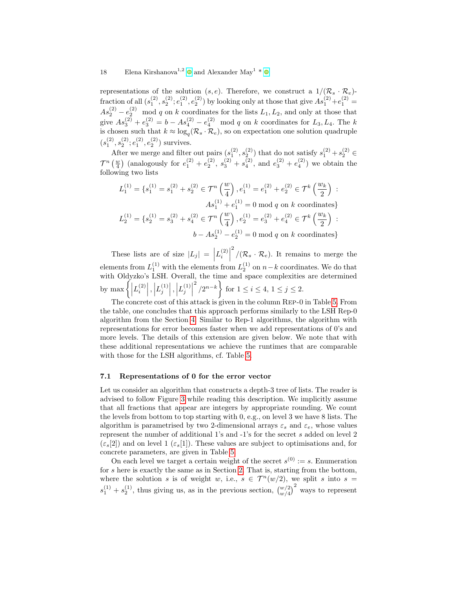representations of the solution  $(s, e)$ . Therefore, we construct a  $1/(\mathcal{R}_s \cdot \mathcal{R}_e)$ fraction of all  $(s_1^{(2)}, s_2^{(2)}, e_1^{(2)}, e_2^{(2)})$  by looking only at those that give  $As_1^{(2)} + e_1^{(2)} =$  $As_2^{(2)} - e_2^{(2)}$  mod q on k coordinates for the lists  $L_1, L_2$ , and only at those that give  $As_3^{(2)} + e_3^{(2)} = b - As_4^{(2)} - e_4^{(2)} \mod q$  on k coordinates for  $L_3, L_4$ . The k is chosen such that  $k \approx \log_q(\mathcal{R}_s \cdot \mathcal{R}_e)$ , so on expectation one solution quadruple  $(s_1^{(2)}, s_2^{(2)}; e_1^{(2)}, e_2^{(2)})$  survives.  $1, s_2, e_1, e_2$ 

After we merge and filter out pairs  $(s_1^{(2)}, s_2^{(2)})$  that do not satisfy  $s_1^{(2)} + s_2^{(2)} \in$  $\mathcal{T}^n\left(\frac{w}{4}\right)$  (analogously for  $e_1^{(2)} + e_2^{(2)}$ ,  $s_3^{(2)} + s_4^{(2)}$ , and  $e_3^{(2)} + e_4^{(2)}$ ) we obtain the following two lists

$$
L_1^{(1)} = \{s_1^{(1)} = s_1^{(2)} + s_2^{(2)} \in \mathcal{T}^n\left(\frac{w}{4}\right), e_1^{(1)} = e_1^{(2)} + e_2^{(2)} \in \mathcal{T}^k\left(\frac{w_k}{2}\right) :
$$
  
\n
$$
As_1^{(1)} + e_1^{(1)} = 0 \mod q \text{ on } k \text{ coordinates} \}
$$
  
\n
$$
L_2^{(1)} = \{s_2^{(1)} = s_3^{(2)} + s_4^{(2)} \in \mathcal{T}^n\left(\frac{w}{4}\right), e_2^{(1)} = e_3^{(2)} + e_4^{(2)} \in \mathcal{T}^k\left(\frac{w_k}{2}\right) :
$$
  
\n
$$
b - As_2^{(1)} - e_2^{(1)} = 0 \mod q \text{ on } k \text{ coordinates} \}
$$

These lists are of size  $|L_j| = |L_i^{(2)}|$  $\begin{bmatrix} -i \\ -i \end{bmatrix}$  $\sqrt[2]{(\mathcal{R}_s \cdot \mathcal{R}_e)}$ . It remains to merge the elements from  $L_1^{(1)}$  with the elements from  $L_2^{(1)}$  on  $n-k$  coordinates. We do that with Oldyzko's LSH. Overall, the time and space complexities are determined by max  $\left\{\left|L_i^{(2)}\right|,\left|L_j^{(1)}\right|,\left|L_j^{(1)}\right|$  $\binom{2}{2^{n-k}}$  for  $1 \leq i \leq 4, 1 \leq j \leq 2$ .

The concrete cost of this attack is given in the column Rep-0 in Table [5.](#page-18-0) From the table, one concludes that this approach performs similarly to the LSH Rep-0 algorithm from the Section [4.](#page-8-1) Similar to Rep-1 algorithms, the algorithm with representations for error becomes faster when we add representations of 0's and more levels. The details of this extension are given below. We note that with these additional representations we achieve the runtimes that are comparable with those for the LSH algorithms, cf. Table [5.](#page-18-0)

#### 7.1 Representations of 0 for the error vector

Let us consider an algorithm that constructs a depth-3 tree of lists. The reader is advised to follow Figure [3](#page-21-0) while reading this description. We implicitly assume that all fractions that appear are integers by appropriate rounding. We count the levels from bottom to top starting with 0, e.g., on level 3 we have 8 lists. The algorithm is parametrised by two 2-dimensional arrays  $\varepsilon_s$  and  $\varepsilon_e$ , whose values represent the number of additional 1's and -1's for the secret s added on level 2  $(\varepsilon_s[2])$  and on level 1  $(\varepsilon_s[1])$ . These values are subject to optimisations and, for concrete parameters, are given in Table [5.](#page-18-0)

On each level we target a certain weight of the secret  $s^{(0)} := s$ . Enumeration for s here is exactly the same as in Section [2.](#page-2-1) That is, starting from the bottom, where the solution s is of weight w, i.e.,  $s \in \mathcal{T}^n(w/2)$ , we split s into  $s =$  $s_1^{(1)} + s_2^{(1)}$ , thus giving us, as in the previous section,  ${w/2 \choose w/4}^2$  ways to represent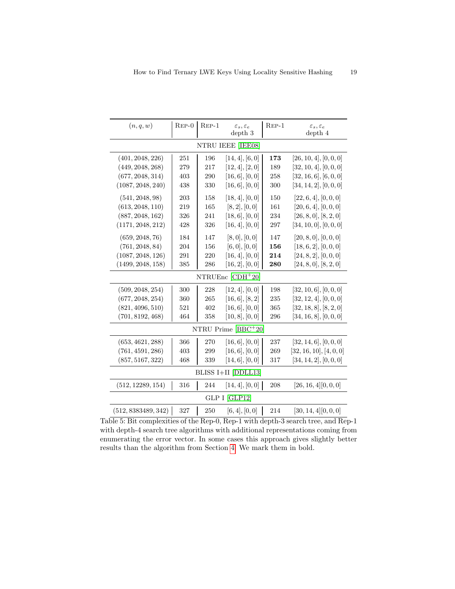<span id="page-18-1"></span><span id="page-18-0"></span>

| (n,q,w)                 | $REP-0$ | $REP-1$ | $\varepsilon_s, \varepsilon_e$<br>depth 3 | $REP-1$ | $\varepsilon_s, \varepsilon_e$<br>depth 4 |  |
|-------------------------|---------|---------|-------------------------------------------|---------|-------------------------------------------|--|
| NTRU IEEE [IEE08]       |         |         |                                           |         |                                           |  |
| (401, 2048, 226)        | 251     | 196     | [14, 4], [6, 0]                           | 173     | [26, 10, 4], [0, 0, 0]                    |  |
| (449, 2048, 268)        | 279     | 217     | [12, 4], [2, 0]                           | 189     | [32, 10, 4], [0, 0, 0]                    |  |
| (677, 2048, 314)        | 403     | 290     | [16, 6], [0, 0]                           | 258     | [32, 16, 6], [6, 0, 0]                    |  |
| (1087, 2048, 240)       | 438     | 330     | [16,6], [0,0]                             | 300     | [34, 14, 2], [0, 0, 0]                    |  |
| (541, 2048, 98)         | 203     | 158     | [18, 4], [0, 0]                           | 150     | [22, 6, 4], [0, 0, 0]                     |  |
| (613, 2048, 110)        | 219     | 165     | [8, 2], [0, 0]                            | 161     | [20, 6, 4], [0, 0, 0]                     |  |
| (887, 2048, 162)        | 326     | 241     | [18, 6], [0, 0]                           | 234     | [26, 8, 0], [8, 2, 0]                     |  |
| (1171, 2048, 212)       | 428     | 326     | [16, 4], [0, 0]                           | 297     | [34, 10, 0], [0, 0, 0]                    |  |
| (659, 2048, 76)         | 184     | 147     | [8,0], [0,0]                              | 147     | [20, 8, 0], [0, 0, 0]                     |  |
| (761, 2048, 84)         | 204     | 156     | [6, 0], [0, 0]                            | 156     | [18, 6, 2], [0, 0, 0]                     |  |
| (1087, 2048, 126)       | 291     | 220     | [16, 4], [0, 0]                           | 214     | [24, 8, 2], [0, 0, 0]                     |  |
| (1499, 2048, 158)       | 385     | 286     | [16, 2], [0, 0]                           | 280     | [24, 8, 0], [8, 2, 0]                     |  |
| NTRUEnc $[CDH^+20]$     |         |         |                                           |         |                                           |  |
| (509, 2048, 254)        | 300     | 228     | [12, 4], [0, 0]                           | 198     | [32, 10, 6], [0, 0, 0]                    |  |
| (677, 2048, 254)        | 360     | 265     | [16, 6], [8, 2]                           | 235     | [32, 12, 4], [0, 0, 0]                    |  |
| (821, 4096, 510)        | 521     | 402     | [16, 6], [0, 0]                           | 365     | [32, 18, 8], [8, 2, 0]                    |  |
| (701, 8192, 468)        | 464     | 358     | [10, 8], [0, 0]                           | 296     | [34, 16, 8], [0, 0, 0]                    |  |
| NTRU Prime $[BBC + 20]$ |         |         |                                           |         |                                           |  |
| (653, 4621, 288)        | 366     | 270     | [16, 6], [0, 0]                           | 237     | [32, 14, 6], [0, 0, 0]                    |  |
| (761, 4591, 286)        | 403     | 299     | [16, 6], [0, 0]                           | 269     | [32, 16, 10], [4, 0, 0]                   |  |
| (857, 5167, 322)        | 468     | 339     | [14, 6], [0, 0]                           | 317     | [34, 14, 2], [0, 0, 0]                    |  |
| BLISS I+II [DDLL13]     |         |         |                                           |         |                                           |  |
| (512, 12289, 154)       | 316     | 244     | [14, 4], [0, 0]                           | 208     | [26, 16, 4][0, 0, 0]                      |  |
| GLP I [GLP12]           |         |         |                                           |         |                                           |  |
| (512, 8383489, 342)     | 327     | 250     | [6, 4], [0, 0]                            | 214     | [30, 14, 4] [0, 0, 0]                     |  |

Table 5: Bit complexities of the Rep-0, Rep-1 with depth-3 search tree, and Rep-1 with depth-4 search tree algorithms with additional representations coming from enumerating the error vector. In some cases this approach gives slightly better results than the algorithm from Section [4.](#page-8-1) We mark them in bold.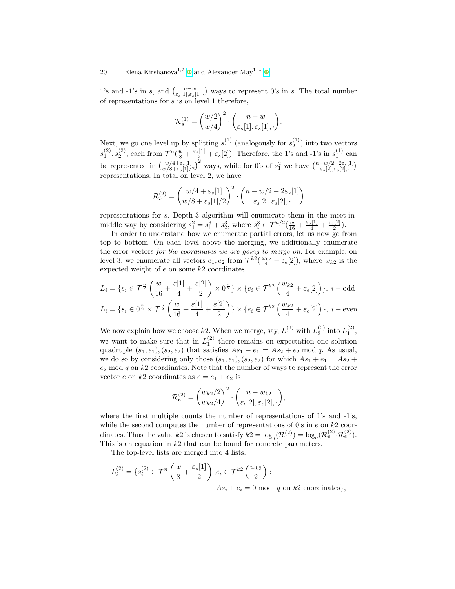1's and -1's in s, and  $\binom{n-w}{\varepsilon_s[1],\varepsilon_s[1],\cdot}$  ways to represent 0's in s. The total number of representations for  $s$  is on level 1 therefore,

$$
\mathcal{R}_s^{(1)} = {w/2 \choose w/4}^2 \cdot {n-w \choose \varepsilon_s[1], \varepsilon_s[1],}.
$$

Next, we go one level up by splitting  $s_1^{(1)}$  (analogously for  $s_2^{(1)}$ ) into two vectors  $s_1^{(2)}, s_2^{(2)}$ , each from  $\mathcal{T}^n(\frac{w}{8} + \frac{\varepsilon_s[1]}{2} + \varepsilon_s[2])$ . Therefore, the 1's and -1's in  $s_1^{(1)}$  can be represented in  $\binom{w/4+\varepsilon_s[1]}{w/8+\varepsilon_s[1]/2}^2$  ways, while for 0's of  $s_1^2$  we have  $\binom{n-w/2-2\varepsilon_s[1]}{\varepsilon_s[2],\varepsilon_s[2],\cdot}$ representations. In total on level 2, we have

$$
\mathcal{R}_s^{(2)} = \binom{w/4 + \varepsilon_s[1]}{w/8 + \varepsilon_s[1]/2}^2 \cdot \binom{n - w/2 - 2\varepsilon_s[1]}{\varepsilon_s[2], \varepsilon_s[2], \cdot}
$$

representations for s. Depth-3 algorithm will enumerate them in the meet-inmiddle way by considering  $s_1^2 = s_1^3 + s_2^3$ , where  $s_i^3 \in \mathcal{T}^{n/2}(\frac{w}{16} + \frac{\varepsilon_s[1]}{4} + \frac{\varepsilon_s[2]}{2})$ .

In order to understand how we enumerate partial errors, let us now go from top to bottom. On each level above the merging, we additionally enumerate the error vectors for the coordinates we are going to merge on. For example, on level 3, we enumerate all vectors  $e_1, e_2$  from  $\mathcal{T}^{k2}(\frac{w_{k2}}{4} + \varepsilon_e[2])$ , where  $w_{k2}$  is the expected weight of e on some k2 coordinates.

$$
L_i = \{s_i \in \mathcal{T}^{\frac{n}{2}}\left(\frac{w}{16} + \frac{\varepsilon[1]}{4} + \frac{\varepsilon[2]}{2}\right) \times 0^{\frac{n}{2}}\} \times \{e_i \in \mathcal{T}^{k2}\left(\frac{w_{k2}}{4} + \varepsilon_e[2]\right)\}, \ i - \text{odd}
$$
\n
$$
L_i = \{s_i \in 0^{\frac{n}{2}} \times \mathcal{T}^{\frac{n}{2}}\left(\frac{w}{16} + \frac{\varepsilon[1]}{4} + \frac{\varepsilon[2]}{2}\right)\} \times \{e_i \in \mathcal{T}^{k2}\left(\frac{w_{k2}}{4} + \varepsilon_e[2]\right)\}, \ i - \text{even}.
$$

We now explain how we choose k2. When we merge, say,  $L_1^{(3)}$  with  $L_2^{(3)}$  into  $L_1^{(2)}$ , we want to make sure that in  $L_1^{(2)}$  there remains on expectation one solution quadruple  $(s_1, e_1), (s_2, e_2)$  that satisfies  $As_1 + e_1 = As_2 + e_2 \text{ mod } q$ . As usual, we do so by considering only those  $(s_1, e_1), (s_2, e_2)$  for which  $As_1 + e_1 = As_2 +$  $e_2$  mod  $q$  on  $k2$  coordinates. Note that the number of ways to represent the error vector e on k2 coordinates as  $e = e_1 + e_2$  is

$$
\mathcal{R}_e^{(2)} = \binom{w_{k2}/2}{w_{k2}/4}^2 \cdot \binom{n-w_{k2}}{\varepsilon_e[2], \varepsilon_e[2], \cdot},
$$

where the first multiple counts the number of representations of 1's and -1's, while the second computes the number of representations of 0's in  $e$  on  $k2$  coordinates. Thus the value k2 is chosen to satisfy  $k2 = \log_q(\mathcal{R}^{(2)}) = \log_q(\mathcal{R}^{(2)}_e \cdot \mathcal{R}^{(2)}_e)$ . This is an equation in  $k2$  that can be found for concrete parameters.

The top-level lists are merged into 4 lists:

$$
L_i^{(2)} = \{s_i^{(2)} \in \mathcal{T}^n \left(\frac{w}{8} + \frac{\varepsilon_s[1]}{2}\right), e_i \in \mathcal{T}^{k2} \left(\frac{w_{k2}}{2}\right):
$$
  

$$
As_i + e_i = 0 \text{ mod } q \text{ on } k2 \text{ coordinates}\},\
$$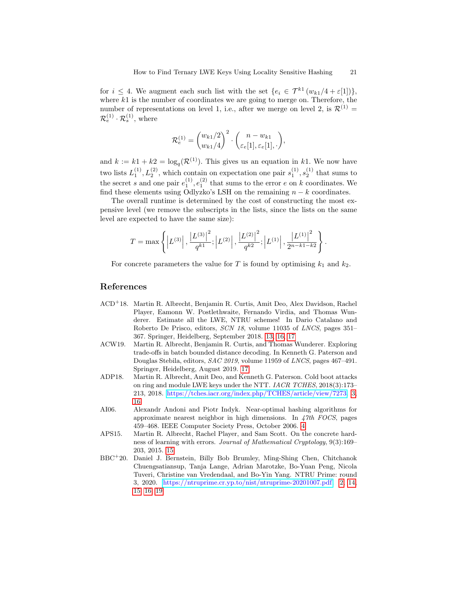for  $i \leq 4$ . We augment each such list with the set  $\{e_i \in \mathcal{T}^{k_1}(w_{k_1}/4 + \varepsilon[1])\},\$ where  $k1$  is the number of coordinates we are going to merge on. Therefore, the number of representations on level 1, i.e., after we merge on level 2, is  $\mathcal{R}^{(1)}$  =  $\mathcal{R}^{(1)}_e \cdot \mathcal{R}^{(1)}_s$ , where

$$
\mathcal{R}_e^{(1)} = \binom{w_{k1}/2}{w_{k1}/4}^2 \cdot \binom{n-w_{k1}}{\varepsilon_e[1], \varepsilon_e[1], \cdot},
$$

and  $k := k1 + k2 = \log_q(\mathcal{R}^{(1)})$ . This gives us an equation in k1. We now have two lists  $L_1^{(1)}$ ,  $L_2^{(2)}$ , which contain on expectation one pair  $s_1^{(1)}$ ,  $s_2^{(1)}$  that sums to the secret s and one pair  $e_1^{(1)}, e_1^{(2)}$  that sums to the error e on k coordinates. We find these elements using Odlyzko's LSH on the remaining  $n - k$  coordinates.

The overall runtime is determined by the cost of constructing the most expensive level (we remove the subscripts in the lists, since the lists on the same level are expected to have the same size):

$$
T = \max \left\{ \left| L^{(3)} \right|, \frac{\left| L^{(3)} \right|^2}{q^{k1}}; \left| L^{(2)} \right|, \frac{\left| L^{(2)} \right|^2}{q^{k2}}; \left| L^{(1)} \right|, \frac{\left| L^{(1)} \right|^2}{2^{n-k1-k2}} \right\}.
$$

For concrete parameters the value for T is found by optimising  $k_1$  and  $k_2$ .

# References

- <span id="page-20-3"></span>ACD<sup>+</sup>18. Martin R. Albrecht, Benjamin R. Curtis, Amit Deo, Alex Davidson, Rachel Player, Eamonn W. Postlethwaite, Fernando Virdia, and Thomas Wunderer. Estimate all the LWE, NTRU schemes! In Dario Catalano and Roberto De Prisco, editors, SCN 18, volume 11035 of LNCS, pages 351– 367. Springer, Heidelberg, September 2018. [13,](#page-12-1) [16,](#page-15-1) [17](#page-16-1)
- <span id="page-20-5"></span>ACW19. Martin R. Albrecht, Benjamin R. Curtis, and Thomas Wunderer. Exploring trade-offs in batch bounded distance decoding. In Kenneth G. Paterson and Douglas Stebila, editors, SAC 2019, volume 11959 of LNCS, pages 467–491. Springer, Heidelberg, August 2019. [17](#page-16-1)
- <span id="page-20-1"></span>ADP18. Martin R. Albrecht, Amit Deo, and Kenneth G. Paterson. Cold boot attacks on ring and module LWE keys under the NTT. IACR TCHES, 2018(3):173– 213, 2018. [https://tches.iacr.org/index.php/TCHES/article/view/7273.](https://tches.iacr.org/index.php/TCHES/article/view/7273) [3,](#page-2-2) [16](#page-15-1)
- <span id="page-20-2"></span>AI06. Alexandr Andoni and Piotr Indyk. Near-optimal hashing algorithms for approximate nearest neighbor in high dimensions. In 47th FOCS, pages 459–468. IEEE Computer Society Press, October 2006. [4](#page-3-1)
- <span id="page-20-4"></span>APS15. Martin R. Albrecht, Rachel Player, and Sam Scott. On the concrete hardness of learning with errors. Journal of Mathematical Cryptology, 9(3):169– 203, 2015. [15](#page-14-1)
- <span id="page-20-0"></span>BBC<sup>+</sup>20. Daniel J. Bernstein, Billy Bob Brumley, Ming-Shing Chen, Chitchanok Chuengsatiansup, Tanja Lange, Adrian Marotzke, Bo-Yuan Peng, Nicola Tuveri, Christine van Vredendaal, and Bo-Yin Yang. NTRU Prime: round 3, 2020. [https://ntruprime.cr.yp.to/nist/ntruprime-20201007.pdf.](https://ntruprime.cr.yp.to/nist/ntruprime-20201007.pdf) [2,](#page-1-2) [14,](#page-13-1) [15,](#page-14-1) [16,](#page-15-1) [19](#page-18-1)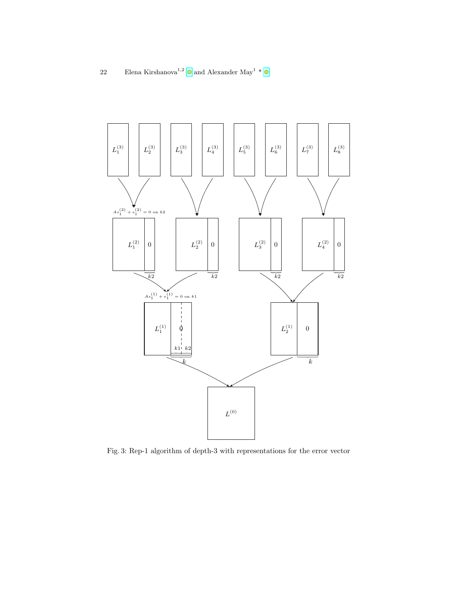<span id="page-21-0"></span>

Fig. 3: Rep-1 algorithm of depth-3 with representations for the error vector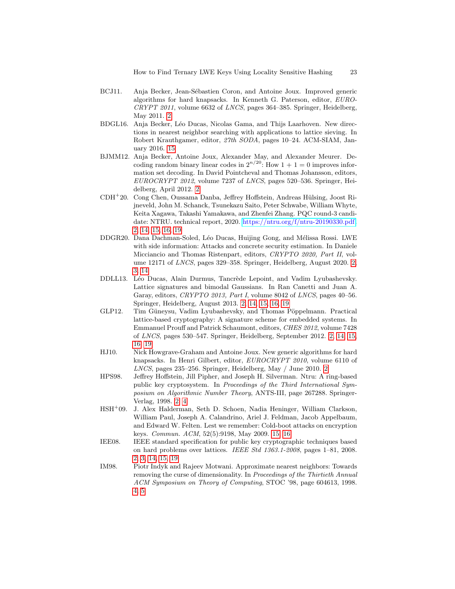- <span id="page-22-2"></span>BCJ11. Anja Becker, Jean-Sébastien Coron, and Antoine Joux. Improved generic algorithms for hard knapsacks. In Kenneth G. Paterson, editor, EURO- $CRYPT 2011$ , volume 6632 of *LNCS*, pages 364–385. Springer, Heidelberg, May 2011. [2](#page-1-2)
- <span id="page-22-10"></span>BDGL16. Anja Becker, L´eo Ducas, Nicolas Gama, and Thijs Laarhoven. New directions in nearest neighbor searching with applications to lattice sieving. In Robert Krauthgamer, editor, 27th SODA, pages 10–24. ACM-SIAM, January 2016. [15](#page-14-1)
- <span id="page-22-3"></span>BJMM12. Anja Becker, Antoine Joux, Alexander May, and Alexander Meurer. Decoding random binary linear codes in  $2^{n/20}$ : How  $1 + 1 = 0$  improves information set decoding. In David Pointcheval and Thomas Johansson, editors, EUROCRYPT 2012, volume 7237 of LNCS, pages 520–536. Springer, Heidelberg, April 2012. [2](#page-1-2)
- <span id="page-22-6"></span> $CDH<sup>+</sup>20.$  Cong Chen, Oussama Danba, Jeffrey Hoffstein, Andreas Hülsing, Joost Rijneveld, John M. Schanck, Tsunekazu Saito, Peter Schwabe, William Whyte, Keita Xagawa, Takashi Yamakawa, and Zhenfei Zhang. PQC round-3 candidate: NTRU. technical report, 2020. [https://ntru.org/f/ntru-20190330.pdf.](https://ntru.org/f/ntru-20190330.pdf) [2,](#page-1-2) [14,](#page-13-1) [15,](#page-14-1) [16,](#page-15-1) [19](#page-18-1)
- <span id="page-22-4"></span>DDGR20. Dana Dachman-Soled, Léo Ducas, Huijing Gong, and Mélissa Rossi. LWE with side information: Attacks and concrete security estimation. In Daniele Micciancio and Thomas Ristenpart, editors, CRYPTO 2020, Part II, volume 12171 of LNCS, pages 329–358. Springer, Heidelberg, August 2020. [2,](#page-1-2) [3,](#page-2-2) [14](#page-13-1)
- <span id="page-22-7"></span>DDLL13. Léo Ducas, Alain Durmus, Tancrède Lepoint, and Vadim Lyubashevsky. Lattice signatures and bimodal Gaussians. In Ran Canetti and Juan A. Garay, editors, CRYPTO 2013, Part I, volume 8042 of LNCS, pages 40–56. Springer, Heidelberg, August 2013. [2,](#page-1-2) [14,](#page-13-1) [15,](#page-14-1) [16,](#page-15-1) [19](#page-18-1)
- <span id="page-22-8"></span>GLP12. Tim Güneysu, Vadim Lyubashevsky, and Thomas Pöppelmann. Practical lattice-based cryptography: A signature scheme for embedded systems. In Emmanuel Prouff and Patrick Schaumont, editors, CHES 2012, volume 7428 of LNCS, pages 530–547. Springer, Heidelberg, September 2012. [2,](#page-1-2) [14,](#page-13-1) [15,](#page-14-1) [16,](#page-15-1) [19](#page-18-1)
- <span id="page-22-1"></span>HJ10. Nick Howgrave-Graham and Antoine Joux. New generic algorithms for hard knapsacks. In Henri Gilbert, editor, EUROCRYPT 2010, volume 6110 of LNCS, pages 235–256. Springer, Heidelberg, May / June 2010. [2](#page-1-2)
- <span id="page-22-0"></span>HPS98. Jeffrey Hoffstein, Jill Pipher, and Joseph H. Silverman. Ntru: A ring-based public key cryptosystem. In Proceedings of the Third International Symposium on Algorithmic Number Theory, ANTS-III, page 267288. Springer-Verlag, 1998. [2,](#page-1-2) [4](#page-3-1)
- <span id="page-22-11"></span>HSH<sup>+</sup>09. J. Alex Halderman, Seth D. Schoen, Nadia Heninger, William Clarkson, William Paul, Joseph A. Calandrino, Ariel J. Feldman, Jacob Appelbaum, and Edward W. Felten. Lest we remember: Cold-boot attacks on encryption keys. Commun. ACM, 52(5):9198, May 2009. [15,](#page-14-1) [16](#page-15-1)
- <span id="page-22-5"></span>IEE08. IEEE standard specification for public key cryptographic techniques based on hard problems over lattices. IEEE Std 1363.1-2008, pages 1–81, 2008. [2,](#page-1-2) [3,](#page-2-2) [14,](#page-13-1) [15,](#page-14-1) [19](#page-18-1)
- <span id="page-22-9"></span>IM98. Piotr Indyk and Rajeev Motwani. Approximate nearest neighbors: Towards removing the curse of dimensionality. In Proceedings of the Thirtieth Annual ACM Symposium on Theory of Computing, STOC '98, page 604613, 1998. [4,](#page-3-1) [5](#page-4-6)